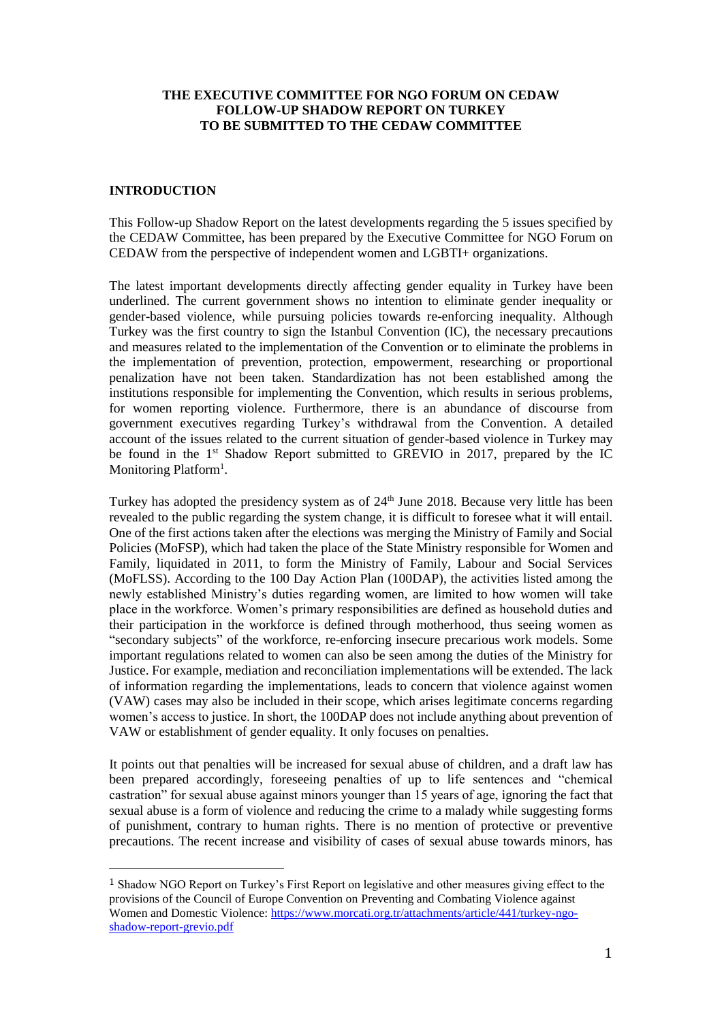## **THE EXECUTIVE COMMITTEE FOR NGO FORUM ON CEDAW FOLLOW-UP SHADOW REPORT ON TURKEY TO BE SUBMITTED TO THE CEDAW COMMITTEE**

### **INTRODUCTION**

This Follow-up Shadow Report on the latest developments regarding the 5 issues specified by the CEDAW Committee, has been prepared by the Executive Committee for NGO Forum on CEDAW from the perspective of independent women and LGBTI+ organizations.

The latest important developments directly affecting gender equality in Turkey have been underlined. The current government shows no intention to eliminate gender inequality or gender-based violence, while pursuing policies towards re-enforcing inequality. Although Turkey was the first country to sign the Istanbul Convention (IC), the necessary precautions and measures related to the implementation of the Convention or to eliminate the problems in the implementation of prevention, protection, empowerment, researching or proportional penalization have not been taken. Standardization has not been established among the institutions responsible for implementing the Convention, which results in serious problems, for women reporting violence. Furthermore, there is an abundance of discourse from government executives regarding Turkey's withdrawal from the Convention. A detailed account of the issues related to the current situation of gender-based violence in Turkey may be found in the 1<sup>st</sup> Shadow Report submitted to GREVIO in 2017, prepared by the IC Monitoring Platform<sup>1</sup>.

Turkey has adopted the presidency system as of 24<sup>th</sup> June 2018. Because very little has been revealed to the public regarding the system change, it is difficult to foresee what it will entail. One of the first actions taken after the elections was merging the Ministry of Family and Social Policies (MoFSP), which had taken the place of the State Ministry responsible for Women and Family, liquidated in 2011, to form the Ministry of Family, Labour and Social Services (MoFLSS). According to the 100 Day Action Plan (100DAP), the activities listed among the newly established Ministry's duties regarding women, are limited to how women will take place in the workforce. Women's primary responsibilities are defined as household duties and their participation in the workforce is defined through motherhood, thus seeing women as "secondary subjects" of the workforce, re-enforcing insecure precarious work models. Some important regulations related to women can also be seen among the duties of the Ministry for Justice. For example, mediation and reconciliation implementations will be extended. The lack of information regarding the implementations, leads to concern that violence against women (VAW) cases may also be included in their scope, which arises legitimate concerns regarding women's access to justice. In short, the 100DAP does not include anything about prevention of VAW or establishment of gender equality. It only focuses on penalties.

It points out that penalties will be increased for sexual abuse of children, and a draft law has been prepared accordingly, foreseeing penalties of up to life sentences and "chemical castration" for sexual abuse against minors younger than 15 years of age, ignoring the fact that sexual abuse is a form of violence and reducing the crime to a malady while suggesting forms of punishment, contrary to human rights. There is no mention of protective or preventive precautions. The recent increase and visibility of cases of sexual abuse towards minors, has

<sup>1</sup> Shadow NGO Report on Turkey's First Report on legislative and other measures giving effect to the provisions of the Council of Europe Convention on Preventing and Combating Violence against Women and Domestic Violence: [https://www.morcati.org.tr/attachments/article/441/turkey-ngo](https://www.morcati.org.tr/attachments/article/441/turkey-ngo-shadow-report-grevio.pdf)[shadow-report-grevio.pdf](https://www.morcati.org.tr/attachments/article/441/turkey-ngo-shadow-report-grevio.pdf)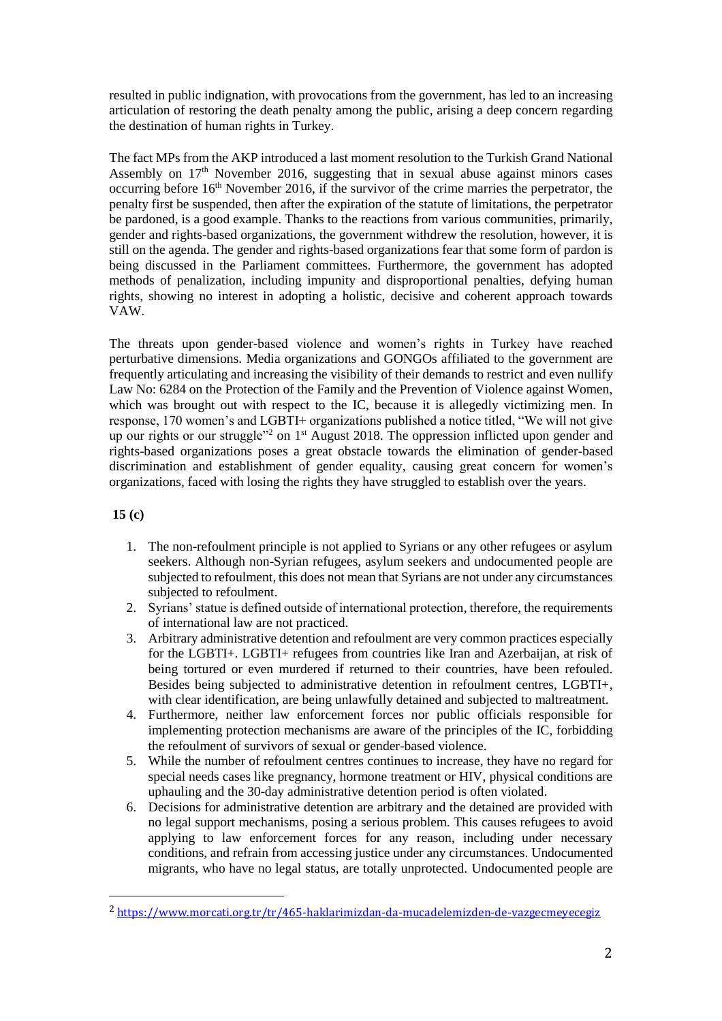resulted in public indignation, with provocations from the government, has led to an increasing articulation of restoring the death penalty among the public, arising a deep concern regarding the destination of human rights in Turkey.

The fact MPs from the AKP introduced a last moment resolution to the Turkish Grand National Assembly on  $17<sup>th</sup>$  November 2016, suggesting that in sexual abuse against minors cases occurring before 16<sup>th</sup> November 2016, if the survivor of the crime marries the perpetrator, the penalty first be suspended, then after the expiration of the statute of limitations, the perpetrator be pardoned, is a good example. Thanks to the reactions from various communities, primarily, gender and rights-based organizations, the government withdrew the resolution, however, it is still on the agenda. The gender and rights-based organizations fear that some form of pardon is being discussed in the Parliament committees. Furthermore, the government has adopted methods of penalization, including impunity and disproportional penalties, defying human rights, showing no interest in adopting a holistic, decisive and coherent approach towards VAW.

The threats upon gender-based violence and women's rights in Turkey have reached perturbative dimensions. Media organizations and GONGOs affiliated to the government are frequently articulating and increasing the visibility of their demands to restrict and even nullify Law No: 6284 on the Protection of the Family and the Prevention of Violence against Women, which was brought out with respect to the IC, because it is allegedly victimizing men. In response, 170 women's and LGBTI+ organizations published a notice titled, "We will not give up our rights or our struggle"<sup>2</sup> on 1<sup>st</sup> August 2018. The oppression inflicted upon gender and rights-based organizations poses a great obstacle towards the elimination of gender-based discrimination and establishment of gender equality, causing great concern for women's organizations, faced with losing the rights they have struggled to establish over the years.

**15 (c)** 

 $\overline{\phantom{a}}$ 

- 1. The non-refoulment principle is not applied to Syrians or any other refugees or asylum seekers. Although non-Syrian refugees, asylum seekers and undocumented people are subjected to refoulment, this does not mean that Syrians are not under any circumstances subjected to refoulment.
- 2. Syrians' statue is defined outside of international protection, therefore, the requirements of international law are not practiced.
- 3. Arbitrary administrative detention and refoulment are very common practices especially for the LGBTI+. LGBTI+ refugees from countries like Iran and Azerbaijan, at risk of being tortured or even murdered if returned to their countries, have been refouled. Besides being subjected to administrative detention in refoulment centres, LGBTI+, with clear identification, are being unlawfully detained and subjected to maltreatment.
- 4. Furthermore, neither law enforcement forces nor public officials responsible for implementing protection mechanisms are aware of the principles of the IC, forbidding the refoulment of survivors of sexual or gender-based violence.
- 5. While the number of refoulment centres continues to increase, they have no regard for special needs cases like pregnancy, hormone treatment or HIV, physical conditions are uphauling and the 30-day administrative detention period is often violated.
- 6. Decisions for administrative detention are arbitrary and the detained are provided with no legal support mechanisms, posing a serious problem. This causes refugees to avoid applying to law enforcement forces for any reason, including under necessary conditions, and refrain from accessing justice under any circumstances. Undocumented migrants, who have no legal status, are totally unprotected. Undocumented people are

<sup>2</sup> <https://www.morcati.org.tr/tr/465-haklarimizdan-da-mucadelemizden-de-vazgecmeyecegiz>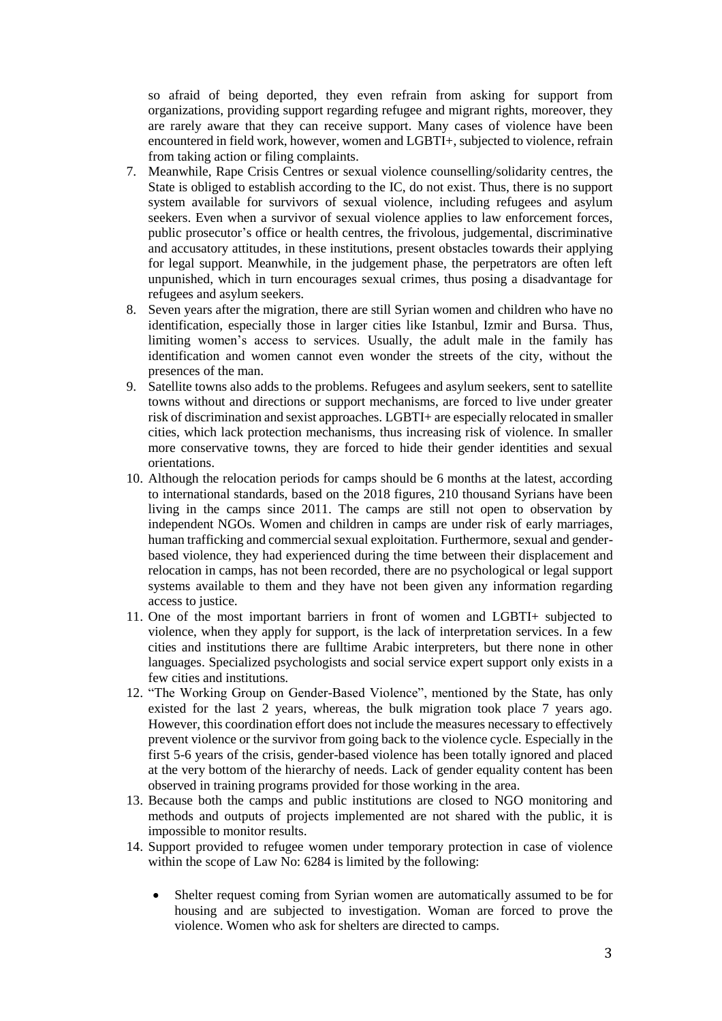so afraid of being deported, they even refrain from asking for support from organizations, providing support regarding refugee and migrant rights, moreover, they are rarely aware that they can receive support. Many cases of violence have been encountered in field work, however, women and LGBTI+, subjected to violence, refrain from taking action or filing complaints.

- 7. Meanwhile, Rape Crisis Centres or sexual violence counselling/solidarity centres, the State is obliged to establish according to the IC, do not exist. Thus, there is no support system available for survivors of sexual violence, including refugees and asylum seekers. Even when a survivor of sexual violence applies to law enforcement forces, public prosecutor's office or health centres, the frivolous, judgemental, discriminative and accusatory attitudes, in these institutions, present obstacles towards their applying for legal support. Meanwhile, in the judgement phase, the perpetrators are often left unpunished, which in turn encourages sexual crimes, thus posing a disadvantage for refugees and asylum seekers.
- 8. Seven years after the migration, there are still Syrian women and children who have no identification, especially those in larger cities like Istanbul, Izmir and Bursa. Thus, limiting women's access to services. Usually, the adult male in the family has identification and women cannot even wonder the streets of the city, without the presences of the man.
- 9. Satellite towns also adds to the problems. Refugees and asylum seekers, sent to satellite towns without and directions or support mechanisms, are forced to live under greater risk of discrimination and sexist approaches. LGBTI+ are especially relocated in smaller cities, which lack protection mechanisms, thus increasing risk of violence. In smaller more conservative towns, they are forced to hide their gender identities and sexual orientations.
- 10. Although the relocation periods for camps should be 6 months at the latest, according to international standards, based on the 2018 figures, 210 thousand Syrians have been living in the camps since 2011. The camps are still not open to observation by independent NGOs. Women and children in camps are under risk of early marriages, human trafficking and commercial sexual exploitation. Furthermore, sexual and genderbased violence, they had experienced during the time between their displacement and relocation in camps, has not been recorded, there are no psychological or legal support systems available to them and they have not been given any information regarding access to justice.
- 11. One of the most important barriers in front of women and LGBTI+ subjected to violence, when they apply for support, is the lack of interpretation services. In a few cities and institutions there are fulltime Arabic interpreters, but there none in other languages. Specialized psychologists and social service expert support only exists in a few cities and institutions.
- 12. "The Working Group on Gender-Based Violence", mentioned by the State, has only existed for the last 2 years, whereas, the bulk migration took place 7 years ago. However, this coordination effort does not include the measures necessary to effectively prevent violence or the survivor from going back to the violence cycle. Especially in the first 5-6 years of the crisis, gender-based violence has been totally ignored and placed at the very bottom of the hierarchy of needs. Lack of gender equality content has been observed in training programs provided for those working in the area.
- 13. Because both the camps and public institutions are closed to NGO monitoring and methods and outputs of projects implemented are not shared with the public, it is impossible to monitor results.
- 14. Support provided to refugee women under temporary protection in case of violence within the scope of Law No: 6284 is limited by the following:
	- Shelter request coming from Syrian women are automatically assumed to be for housing and are subjected to investigation. Woman are forced to prove the violence. Women who ask for shelters are directed to camps.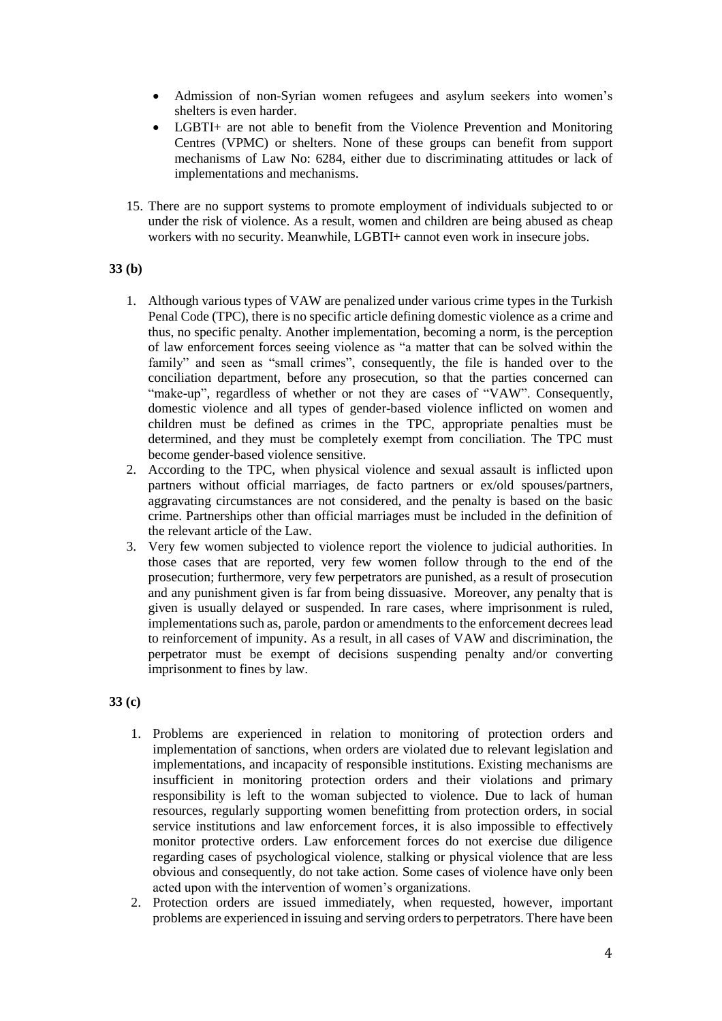- Admission of non-Syrian women refugees and asylum seekers into women's shelters is even harder.
- LGBTI+ are not able to benefit from the Violence Prevention and Monitoring Centres (VPMC) or shelters. None of these groups can benefit from support mechanisms of Law No: 6284, either due to discriminating attitudes or lack of implementations and mechanisms.
- 15. There are no support systems to promote employment of individuals subjected to or under the risk of violence. As a result, women and children are being abused as cheap workers with no security. Meanwhile, LGBTI+ cannot even work in insecure jobs.

# **33 (b)**

- 1. Although various types of VAW are penalized under various crime types in the Turkish Penal Code (TPC), there is no specific article defining domestic violence as a crime and thus, no specific penalty. Another implementation, becoming a norm, is the perception of law enforcement forces seeing violence as "a matter that can be solved within the family" and seen as "small crimes", consequently, the file is handed over to the conciliation department, before any prosecution, so that the parties concerned can "make-up", regardless of whether or not they are cases of "VAW". Consequently, domestic violence and all types of gender-based violence inflicted on women and children must be defined as crimes in the TPC, appropriate penalties must be determined, and they must be completely exempt from conciliation. The TPC must become gender-based violence sensitive.
- 2. According to the TPC, when physical violence and sexual assault is inflicted upon partners without official marriages, de facto partners or ex/old spouses/partners, aggravating circumstances are not considered, and the penalty is based on the basic crime. Partnerships other than official marriages must be included in the definition of the relevant article of the Law.
- 3. Very few women subjected to violence report the violence to judicial authorities. In those cases that are reported, very few women follow through to the end of the prosecution; furthermore, very few perpetrators are punished, as a result of prosecution and any punishment given is far from being dissuasive. Moreover, any penalty that is given is usually delayed or suspended. In rare cases, where imprisonment is ruled, implementations such as, parole, pardon or amendments to the enforcement decrees lead to reinforcement of impunity. As a result, in all cases of VAW and discrimination, the perpetrator must be exempt of decisions suspending penalty and/or converting imprisonment to fines by law.

## **33 (c)**

- 1. Problems are experienced in relation to monitoring of protection orders and implementation of sanctions, when orders are violated due to relevant legislation and implementations, and incapacity of responsible institutions. Existing mechanisms are insufficient in monitoring protection orders and their violations and primary responsibility is left to the woman subjected to violence. Due to lack of human resources, regularly supporting women benefitting from protection orders, in social service institutions and law enforcement forces, it is also impossible to effectively monitor protective orders. Law enforcement forces do not exercise due diligence regarding cases of psychological violence, stalking or physical violence that are less obvious and consequently, do not take action. Some cases of violence have only been acted upon with the intervention of women's organizations.
- 2. Protection orders are issued immediately, when requested, however, important problems are experienced in issuing and serving orders to perpetrators. There have been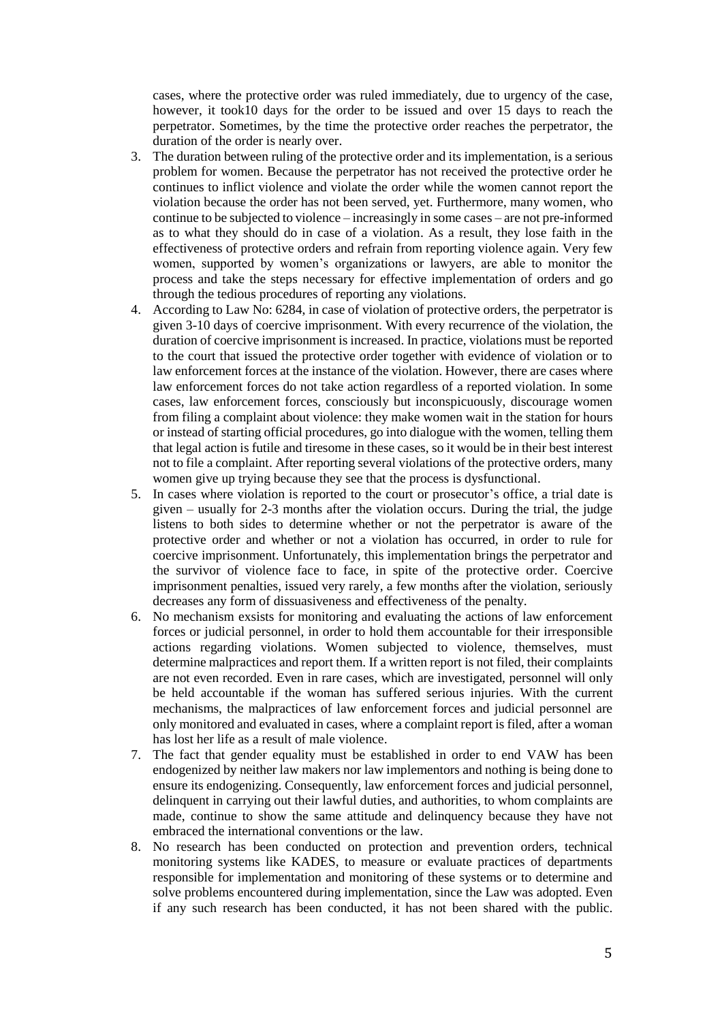cases, where the protective order was ruled immediately, due to urgency of the case, however, it took10 days for the order to be issued and over 15 days to reach the perpetrator. Sometimes, by the time the protective order reaches the perpetrator, the duration of the order is nearly over.

- 3. The duration between ruling of the protective order and its implementation, is a serious problem for women. Because the perpetrator has not received the protective order he continues to inflict violence and violate the order while the women cannot report the violation because the order has not been served, yet. Furthermore, many women, who continue to be subjected to violence – increasingly in some cases – are not pre-informed as to what they should do in case of a violation. As a result, they lose faith in the effectiveness of protective orders and refrain from reporting violence again. Very few women, supported by women's organizations or lawyers, are able to monitor the process and take the steps necessary for effective implementation of orders and go through the tedious procedures of reporting any violations.
- 4. According to Law No: 6284, in case of violation of protective orders, the perpetrator is given 3-10 days of coercive imprisonment. With every recurrence of the violation, the duration of coercive imprisonment is increased. In practice, violations must be reported to the court that issued the protective order together with evidence of violation or to law enforcement forces at the instance of the violation. However, there are cases where law enforcement forces do not take action regardless of a reported violation. In some cases, law enforcement forces, consciously but inconspicuously, discourage women from filing a complaint about violence: they make women wait in the station for hours or instead of starting official procedures, go into dialogue with the women, telling them that legal action is futile and tiresome in these cases, so it would be in their best interest not to file a complaint. After reporting several violations of the protective orders, many women give up trying because they see that the process is dysfunctional.
- 5. In cases where violation is reported to the court or prosecutor's office, a trial date is given – usually for 2-3 months after the violation occurs. During the trial, the judge listens to both sides to determine whether or not the perpetrator is aware of the protective order and whether or not a violation has occurred, in order to rule for coercive imprisonment. Unfortunately, this implementation brings the perpetrator and the survivor of violence face to face, in spite of the protective order. Coercive imprisonment penalties, issued very rarely, a few months after the violation, seriously decreases any form of dissuasiveness and effectiveness of the penalty.
- 6. No mechanism exsists for monitoring and evaluating the actions of law enforcement forces or judicial personnel, in order to hold them accountable for their irresponsible actions regarding violations. Women subjected to violence, themselves, must determine malpractices and report them. If a written report is not filed, their complaints are not even recorded. Even in rare cases, which are investigated, personnel will only be held accountable if the woman has suffered serious injuries. With the current mechanisms, the malpractices of law enforcement forces and judicial personnel are only monitored and evaluated in cases, where a complaint report is filed, after a woman has lost her life as a result of male violence.
- 7. The fact that gender equality must be established in order to end VAW has been endogenized by neither law makers nor law implementors and nothing is being done to ensure its endogenizing. Consequently, law enforcement forces and judicial personnel, delinquent in carrying out their lawful duties, and authorities, to whom complaints are made, continue to show the same attitude and delinquency because they have not embraced the international conventions or the law.
- 8. No research has been conducted on protection and prevention orders, technical monitoring systems like KADES, to measure or evaluate practices of departments responsible for implementation and monitoring of these systems or to determine and solve problems encountered during implementation, since the Law was adopted. Even if any such research has been conducted, it has not been shared with the public.